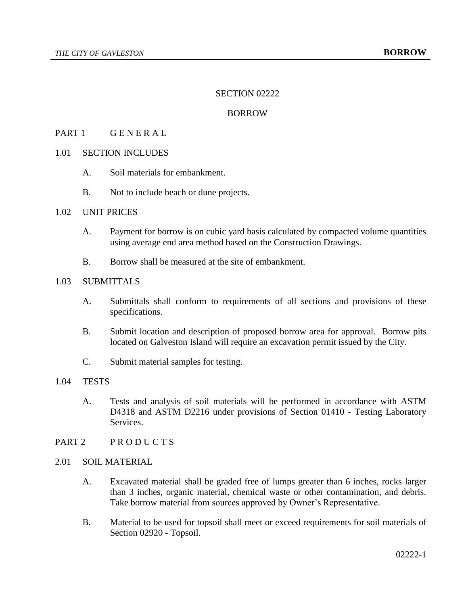### SECTION 02222

### BORROW

### PART 1 GENERAL

# 1.01 SECTION INCLUDES

- A. Soil materials for embankment.
- B. Not to include beach or dune projects.

# 1.02 UNIT PRICES

- A. Payment for borrow is on cubic yard basis calculated by compacted volume quantities using average end area method based on the Construction Drawings.
- B. Borrow shall be measured at the site of embankment.

# 1.03 SUBMITTALS

- A. Submittals shall conform to requirements of all sections and provisions of these specifications.
- B. Submit location and description of proposed borrow area for approval. Borrow pits located on Galveston Island will require an excavation permit issued by the City.
- C. Submit material samples for testing.

#### 1.04 TESTS

- A. Tests and analysis of soil materials will be performed in accordance with ASTM D4318 and ASTM D2216 under provisions of Section 01410 - Testing Laboratory Services.
- PART 2 PRODUCTS

#### 2.01 SOIL MATERIAL

- A. Excavated material shall be graded free of lumps greater than 6 inches, rocks larger than 3 inches, organic material, chemical waste or other contamination, and debris. Take borrow material from sources approved by Owner's Representative.
- B. Material to be used for topsoil shall meet or exceed requirements for soil materials of Section 02920 - Topsoil.